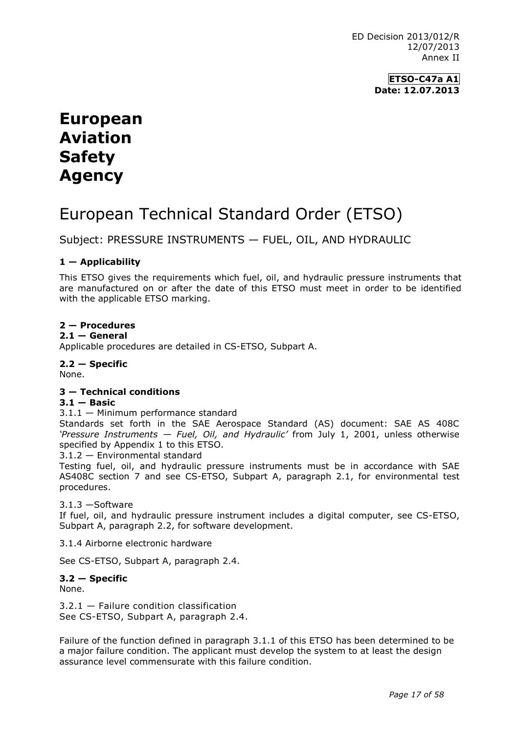ED Decision 2013/012/R 12/07/2013 Annex II

> **ETSO-C47a A1 Date: 12.07.2013**

# **European Aviation Safety Agency**

# European Technical Standard Order (ETSO)

Subject: PRESSURE INSTRUMENTS — FUEL, OIL, AND HYDRAULIC

# **1 — Applicability**

This ETSO gives the requirements which fuel, oil, and hydraulic pressure instruments that are manufactured on or after the date of this ETSO must meet in order to be identified with the applicable ETSO marking.

# **2 — Procedures**

### $2.1 -$  **General**

Applicable procedures are detailed in CS-ETSO, Subpart A.

## **2.2 — Specific**

None.

## **3 — Technical conditions**

## **3.1 — Basic**

## 3.1.1 — Minimum performance standard

Standards set forth in the SAE Aerospace Standard (AS) document: SAE AS 408C *'Pressure Instruments — Fuel, Oil, and Hydraulic'* from July 1, 2001, unless otherwise specified by Appendix 1 to this ETSO.

3.1.2 — Environmental standard

Testing fuel, oil, and hydraulic pressure instruments must be in accordance with SAE AS408C section 7 and see CS-ETSO, Subpart A, paragraph 2.1, for environmental test procedures.

## 3.1.3 —Software

If fuel, oil, and hydraulic pressure instrument includes a digital computer, see CS-ETSO, Subpart A, paragraph 2.2, for software development.

3.1.4 Airborne electronic hardware

See CS-ETSO, Subpart A, paragraph 2.4.

#### **3.2 — Specific** None.

3.2.1 — Failure condition classification See CS-ETSO, Subpart A, paragraph 2.4.

Failure of the function defined in paragraph 3.1.1 of this ETSO has been determined to be a major failure condition. The applicant must develop the system to at least the design assurance level commensurate with this failure condition.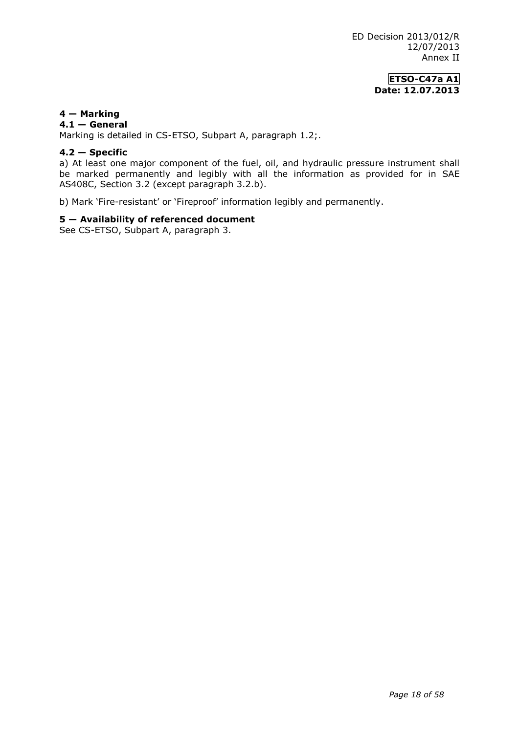# **ETSO-C47a A1 Date: 12.07.2013**

## **4 — Marking**

### **4.1 — General**

Marking is detailed in CS-ETSO, Subpart A, paragraph 1.2;.

## **4.2 — Specific**

a) At least one major component of the fuel, oil, and hydraulic pressure instrument shall be marked permanently and legibly with all the information as provided for in SAE AS408C, Section 3.2 (except paragraph 3.2.b).

b) Mark 'Fire-resistant' or 'Fireproof' information legibly and permanently.

## **5 — Availability of referenced document**

See CS-ETSO, Subpart A, paragraph 3.